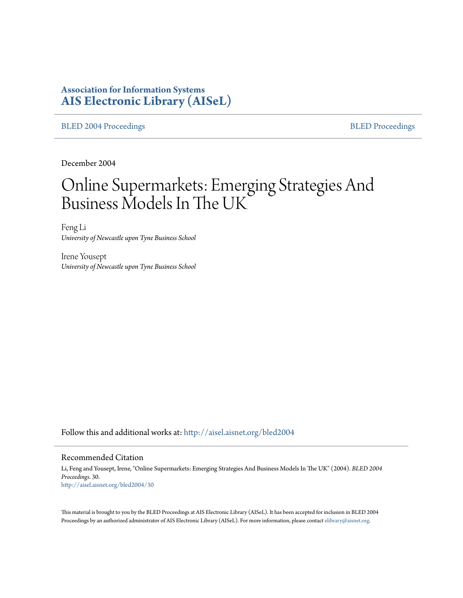# **Association for Information Systems [AIS Electronic Library \(AISeL\)](http://aisel.aisnet.org?utm_source=aisel.aisnet.org%2Fbled2004%2F30&utm_medium=PDF&utm_campaign=PDFCoverPages)**

[BLED 2004 Proceedings](http://aisel.aisnet.org/bled2004?utm_source=aisel.aisnet.org%2Fbled2004%2F30&utm_medium=PDF&utm_campaign=PDFCoverPages) **[BLED Proceedings](http://aisel.aisnet.org/bled?utm_source=aisel.aisnet.org%2Fbled2004%2F30&utm_medium=PDF&utm_campaign=PDFCoverPages)** 

December 2004

# Online Supermarkets: Emerging Strategies And Business Models In The UK

Feng Li *University of Newcastle upon Tyne Business School*

Irene Yousept *University of Newcastle upon Tyne Business School*

Follow this and additional works at: [http://aisel.aisnet.org/bled2004](http://aisel.aisnet.org/bled2004?utm_source=aisel.aisnet.org%2Fbled2004%2F30&utm_medium=PDF&utm_campaign=PDFCoverPages)

#### Recommended Citation

Li, Feng and Yousept, Irene, "Online Supermarkets: Emerging Strategies And Business Models In The UK" (2004). *BLED 2004 Proceedings*. 30. [http://aisel.aisnet.org/bled2004/30](http://aisel.aisnet.org/bled2004/30?utm_source=aisel.aisnet.org%2Fbled2004%2F30&utm_medium=PDF&utm_campaign=PDFCoverPages)

This material is brought to you by the BLED Proceedings at AIS Electronic Library (AISeL). It has been accepted for inclusion in BLED 2004 Proceedings by an authorized administrator of AIS Electronic Library (AISeL). For more information, please contact [elibrary@aisnet.org](mailto:elibrary@aisnet.org%3E).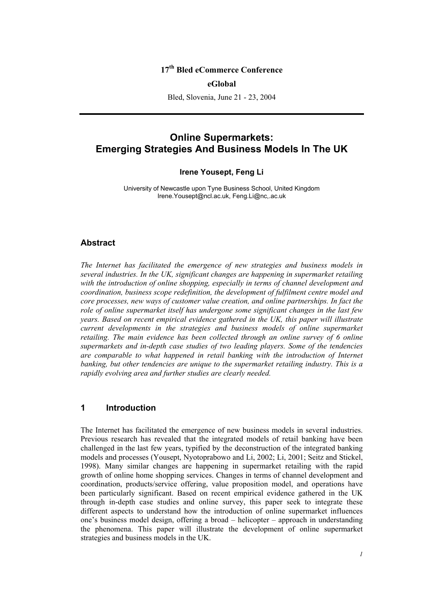## **17th Bled eCommerce Conference**

#### **eGlobal**

Bled, Slovenia, June 21 - 23, 2004

# **Online Supermarkets: Emerging Strategies And Business Models In The UK**

#### **Irene Yousept, Feng Li**

University of Newcastle upon Tyne Business School, United Kingdom Irene.Yousept@ncl.ac.uk, Feng.Li@nc,.ac.uk

#### **Abstract**

*The Internet has facilitated the emergence of new strategies and business models in several industries. In the UK, significant changes are happening in supermarket retailing with the introduction of online shopping, especially in terms of channel development and coordination, business scope redefinition, the development of fulfilment centre model and core processes, new ways of customer value creation, and online partnerships. In fact the role of online supermarket itself has undergone some significant changes in the last few years. Based on recent empirical evidence gathered in the UK, this paper will illustrate current developments in the strategies and business models of online supermarket retailing. The main evidence has been collected through an online survey of 6 online supermarkets and in-depth case studies of two leading players. Some of the tendencies are comparable to what happened in retail banking with the introduction of Internet banking, but other tendencies are unique to the supermarket retailing industry. This is a rapidly evolving area and further studies are clearly needed.* 

## **1 Introduction**

The Internet has facilitated the emergence of new business models in several industries. Previous research has revealed that the integrated models of retail banking have been challenged in the last few years, typified by the deconstruction of the integrated banking models and processes (Yousept, Nyotoprabowo and Li, 2002; Li, 2001; Seitz and Stickel, 1998). Many similar changes are happening in supermarket retailing with the rapid growth of online home shopping services. Changes in terms of channel development and coordination, products/service offering, value proposition model, and operations have been particularly significant. Based on recent empirical evidence gathered in the UK through in-depth case studies and online survey, this paper seek to integrate these different aspects to understand how the introduction of online supermarket influences one's business model design, offering a broad – helicopter – approach in understanding the phenomena. This paper will illustrate the development of online supermarket strategies and business models in the UK.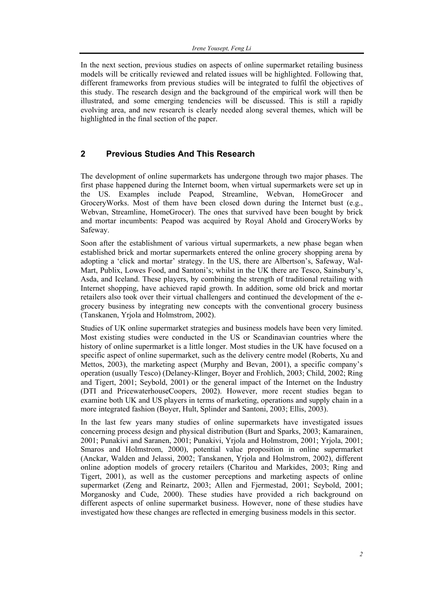In the next section, previous studies on aspects of online supermarket retailing business models will be critically reviewed and related issues will be highlighted. Following that, different frameworks from previous studies will be integrated to fulfil the objectives of this study. The research design and the background of the empirical work will then be illustrated, and some emerging tendencies will be discussed. This is still a rapidly evolving area, and new research is clearly needed along several themes, which will be highlighted in the final section of the paper.

## **2 Previous Studies And This Research**

The development of online supermarkets has undergone through two major phases. The first phase happened during the Internet boom, when virtual supermarkets were set up in the US. Examples include Peapod, Streamline, Webvan, HomeGrocer and GroceryWorks. Most of them have been closed down during the Internet bust (e.g., Webvan, Streamline, HomeGrocer). The ones that survived have been bought by brick and mortar incumbents: Peapod was acquired by Royal Ahold and GroceryWorks by Safeway.

Soon after the establishment of various virtual supermarkets, a new phase began when established brick and mortar supermarkets entered the online grocery shopping arena by adopting a 'click and mortar' strategy. In the US, there are Albertson's, Safeway, Wal-Mart, Publix, Lowes Food, and Santoni's; whilst in the UK there are Tesco, Sainsbury's, Asda, and Iceland. These players, by combining the strength of traditional retailing with Internet shopping, have achieved rapid growth. In addition, some old brick and mortar retailers also took over their virtual challengers and continued the development of the egrocery business by integrating new concepts with the conventional grocery business (Tanskanen, Yrjola and Holmstrom, 2002).

Studies of UK online supermarket strategies and business models have been very limited. Most existing studies were conducted in the US or Scandinavian countries where the history of online supermarket is a little longer. Most studies in the UK have focused on a specific aspect of online supermarket, such as the delivery centre model (Roberts, Xu and Mettos, 2003), the marketing aspect (Murphy and Bevan, 2001), a specific company's operation (usually Tesco) (Delaney-Klinger, Boyer and Frohlich, 2003; Child, 2002; Ring and Tigert, 2001; Seybold, 2001) or the general impact of the Internet on the Industry (DTI and PricewaterhouseCoopers, 2002). However, more recent studies began to examine both UK and US players in terms of marketing, operations and supply chain in a more integrated fashion (Boyer, Hult, Splinder and Santoni, 2003; Ellis, 2003).

In the last few years many studies of online supermarkets have investigated issues concerning process design and physical distribution (Burt and Sparks, 2003; Kamarainen, 2001; Punakivi and Saranen, 2001; Punakivi, Yrjola and Holmstrom, 2001; Yrjola, 2001; Smaros and Holmstrom, 2000), potential value proposition in online supermarket (Anckar, Walden and Jelassi, 2002; Tanskanen, Yrjola and Holmstrom, 2002), different online adoption models of grocery retailers (Charitou and Markides, 2003; Ring and Tigert, 2001), as well as the customer perceptions and marketing aspects of online supermarket (Zeng and Reinartz, 2003; Allen and Fjermestad, 2001; Seybold, 2001; Morganosky and Cude, 2000). These studies have provided a rich background on different aspects of online supermarket business. However, none of these studies have investigated how these changes are reflected in emerging business models in this sector.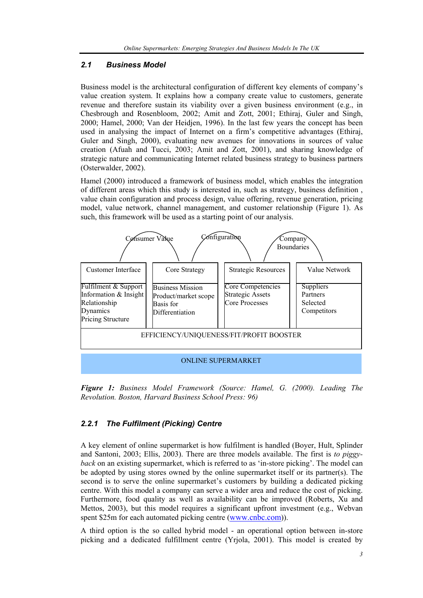## *2.1 Business Model*

Business model is the architectural configuration of different key elements of company's value creation system. It explains how a company create value to customers, generate revenue and therefore sustain its viability over a given business environment (e.g., in Chesbrough and Rosenbloom, 2002; Amit and Zott, 2001; Ethiraj, Guler and Singh, 2000; Hamel, 2000; Van der Heidjen, 1996). In the last few years the concept has been used in analysing the impact of Internet on a firm's competitive advantages (Ethiraj, Guler and Singh, 2000), evaluating new avenues for innovations in sources of value creation (Afuah and Tucci, 2003; Amit and Zott, 2001), and sharing knowledge of strategic nature and communicating Internet related business strategy to business partners (Osterwalder, 2002).

Hamel (2000) introduced a framework of business model, which enables the integration of different areas which this study is interested in, such as strategy, business definition , value chain configuration and process design, value offering, revenue generation, pricing model, value network, channel management, and customer relationship (Figure 1). As such, this framework will be used as a starting point of our analysis.



*Figure 1: Business Model Framework (Source: Hamel, G. (2000). Leading The Revolution. Boston, Harvard Business School Press: 96)* 

## *2.2.1 The Fulfilment (Picking) Centre*

A key element of online supermarket is how fulfilment is handled (Boyer, Hult, Splinder and Santoni, 2003; Ellis, 2003). There are three models available. The first is *to piggyback* on an existing supermarket, which is referred to as 'in-store picking'. The model can be adopted by using stores owned by the online supermarket itself or its partner(s). The second is to serve the online supermarket's customers by building a dedicated picking centre. With this model a company can serve a wider area and reduce the cost of picking. Furthermore, food quality as well as availability can be improved (Roberts, Xu and Mettos, 2003), but this model requires a significant upfront investment (e.g., Webvan spent \$25m for each automated picking centre (www.cnbc.com)).

A third option is the so called hybrid model - an operational option between in-store picking and a dedicated fulfillment centre (Yrjola, 2001). This model is created by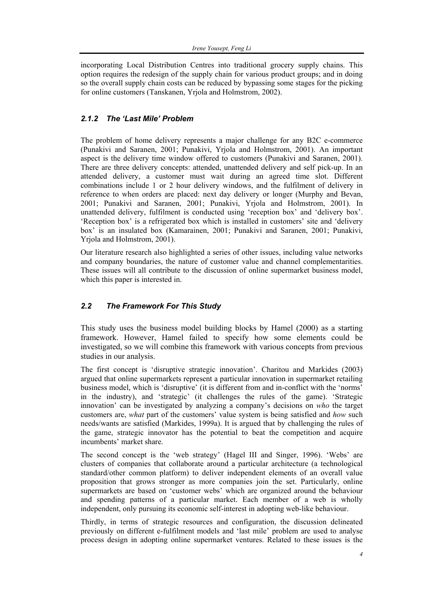incorporating Local Distribution Centres into traditional grocery supply chains. This option requires the redesign of the supply chain for various product groups; and in doing so the overall supply chain costs can be reduced by bypassing some stages for the picking for online customers (Tanskanen, Yrjola and Holmstrom, 2002).

## *2.1.2 The 'Last Mile' Problem*

The problem of home delivery represents a major challenge for any B2C e-commerce (Punakivi and Saranen, 2001; Punakivi, Yrjola and Holmstrom, 2001). An important aspect is the delivery time window offered to customers (Punakivi and Saranen, 2001). There are three delivery concepts: attended, unattended delivery and self pick-up. In an attended delivery, a customer must wait during an agreed time slot. Different combinations include 1 or 2 hour delivery windows, and the fulfilment of delivery in reference to when orders are placed: next day delivery or longer (Murphy and Bevan, 2001; Punakivi and Saranen, 2001; Punakivi, Yrjola and Holmstrom, 2001). In unattended delivery, fulfilment is conducted using 'reception box' and 'delivery box'. 'Reception box' is a refrigerated box which is installed in customers' site and 'delivery box' is an insulated box (Kamarainen, 2001; Punakivi and Saranen, 2001; Punakivi, Yrjola and Holmstrom, 2001).

Our literature research also highlighted a series of other issues, including value networks and company boundaries, the nature of customer value and channel complementarities. These issues will all contribute to the discussion of online supermarket business model, which this paper is interested in.

## *2.2 The Framework For This Study*

This study uses the business model building blocks by Hamel (2000) as a starting framework. However, Hamel failed to specify how some elements could be investigated, so we will combine this framework with various concepts from previous studies in our analysis.

The first concept is 'disruptive strategic innovation'. Charitou and Markides (2003) argued that online supermarkets represent a particular innovation in supermarket retailing business model, which is 'disruptive' (it is different from and in-conflict with the 'norms' in the industry), and 'strategic' (it challenges the rules of the game). 'Strategic innovation' can be investigated by analyzing a company's decisions on *who* the target customers are, *what* part of the customers' value system is being satisfied and *how* such needs/wants are satisfied (Markides, 1999a). It is argued that by challenging the rules of the game, strategic innovator has the potential to beat the competition and acquire incumbents' market share.

The second concept is the 'web strategy' (Hagel III and Singer, 1996). 'Webs' are clusters of companies that collaborate around a particular architecture (a technological standard/other common platform) to deliver independent elements of an overall value proposition that grows stronger as more companies join the set. Particularly, online supermarkets are based on 'customer webs' which are organized around the behaviour and spending patterns of a particular market. Each member of a web is wholly independent, only pursuing its economic self-interest in adopting web-like behaviour.

Thirdly, in terms of strategic resources and configuration, the discussion delineated previously on different e-fulfilment models and 'last mile' problem are used to analyse process design in adopting online supermarket ventures. Related to these issues is the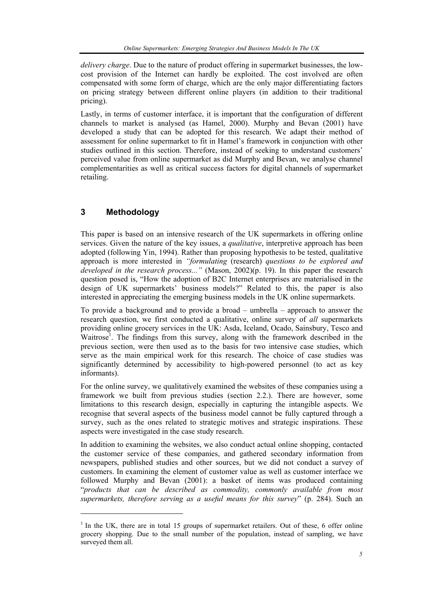*delivery charge*. Due to the nature of product offering in supermarket businesses, the lowcost provision of the Internet can hardly be exploited. The cost involved are often compensated with some form of charge, which are the only major differentiating factors on pricing strategy between different online players (in addition to their traditional pricing).

Lastly, in terms of customer interface, it is important that the configuration of different channels to market is analysed (as Hamel, 2000). Murphy and Bevan (2001) have developed a study that can be adopted for this research. We adapt their method of assessment for online supermarket to fit in Hamel's framework in conjunction with other studies outlined in this section. Therefore, instead of seeking to understand customers' perceived value from online supermarket as did Murphy and Bevan, we analyse channel complementarities as well as critical success factors for digital channels of supermarket retailing.

# **3 Methodology**

 $\overline{\phantom{a}}$ 

This paper is based on an intensive research of the UK supermarkets in offering online services. Given the nature of the key issues, a *qualitative*, interpretive approach has been adopted (following Yin, 1994). Rather than proposing hypothesis to be tested, qualitative approach is more interested in *"formulating* (research) *questions to be explored and developed in the research process..."* (Mason, 2002)(p. 19). In this paper the research question posed is, "How the adoption of B2C Internet enterprises are materialised in the design of UK supermarkets' business models?" Related to this, the paper is also interested in appreciating the emerging business models in the UK online supermarkets.

To provide a background and to provide a broad – umbrella – approach to answer the research question, we first conducted a qualitative, online survey of *all* supermarkets providing online grocery services in the UK: Asda, Iceland, Ocado, Sainsbury, Tesco and Waitrose<sup>1</sup>. The findings from this survey, along with the framework described in the previous section, were then used as to the basis for two intensive case studies, which serve as the main empirical work for this research. The choice of case studies was significantly determined by accessibility to high-powered personnel (to act as key informants).

For the online survey, we qualitatively examined the websites of these companies using a framework we built from previous studies (section 2.2.). There are however, some limitations to this research design, especially in capturing the intangible aspects. We recognise that several aspects of the business model cannot be fully captured through a survey, such as the ones related to strategic motives and strategic inspirations. These aspects were investigated in the case study research.

In addition to examining the websites, we also conduct actual online shopping, contacted the customer service of these companies, and gathered secondary information from newspapers, published studies and other sources, but we did not conduct a survey of customers. In examining the element of customer value as well as customer interface we followed Murphy and Bevan (2001): a basket of items was produced containing "*products that can be described as commodity, commonly available from most supermarkets, therefore serving as a useful means for this survey*" (p. 284). Such an

 $1$  In the UK, there are in total 15 groups of supermarket retailers. Out of these, 6 offer online grocery shopping. Due to the small number of the population, instead of sampling, we have surveyed them all.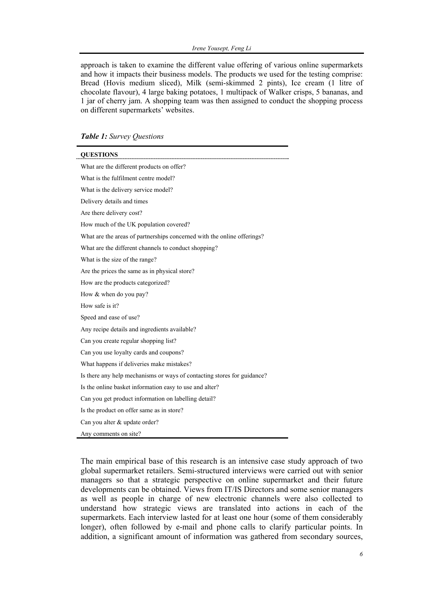approach is taken to examine the different value offering of various online supermarkets and how it impacts their business models. The products we used for the testing comprise: Bread (Hovis medium sliced), Milk (semi-skimmed 2 pints), Ice cream (1 litre of chocolate flavour), 4 large baking potatoes, 1 multipack of Walker crisps, 5 bananas, and 1 jar of cherry jam. A shopping team was then assigned to conduct the shopping process on different supermarkets' websites.

#### *Table 1: Survey Questions*

j.

 $\blacksquare$ 

| <b>OUESTIONS</b>                                                        |
|-------------------------------------------------------------------------|
| What are the different products on offer?                               |
| What is the fulfilment centre model?                                    |
| What is the delivery service model?                                     |
| Delivery details and times                                              |
| Are there delivery cost?                                                |
| How much of the UK population covered?                                  |
| What are the areas of partnerships concerned with the online offerings? |
| What are the different channels to conduct shopping?                    |
| What is the size of the range?                                          |
| Are the prices the same as in physical store?                           |
| How are the products categorized?                                       |
| How & when do you pay?                                                  |
| How safe is it?                                                         |
| Speed and ease of use?                                                  |
| Any recipe details and ingredients available?                           |
| Can you create regular shopping list?                                   |
| Can you use loyalty cards and coupons?                                  |
| What happens if deliveries make mistakes?                               |
| Is there any help mechanisms or ways of contacting stores for guidance? |
| Is the online basket information easy to use and alter?                 |
| Can you get product information on labelling detail?                    |
| Is the product on offer same as in store?                               |
| Can you alter & update order?                                           |
| Any comments on site?                                                   |

The main empirical base of this research is an intensive case study approach of two global supermarket retailers. Semi-structured interviews were carried out with senior managers so that a strategic perspective on online supermarket and their future developments can be obtained. Views from IT/IS Directors and some senior managers as well as people in charge of new electronic channels were also collected to understand how strategic views are translated into actions in each of the supermarkets. Each interview lasted for at least one hour (some of them considerably longer), often followed by e-mail and phone calls to clarify particular points. In addition, a significant amount of information was gathered from secondary sources,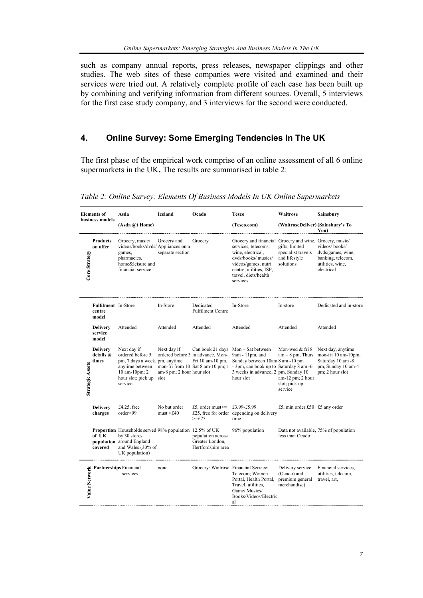such as company annual reports, press releases, newspaper clippings and other studies. The web sites of these companies were visited and examined and their services were tried out. A relatively complete profile of each case has been built up by combining and verifying information from different sources. Overall, 5 interviews for the first case study company, and 3 interviews for the second were conducted.

# **4. Online Survey: Some Emerging Tendencies In The UK**

The first phase of the empirical work comprise of an online assessment of all 6 online supermarkets in the UK**.** The results are summarised in table 2:

| <b>Elements</b> of<br>business models |                                               | Asda                                                                                                                                               | <b>Iceland</b>                                   | Ocado                                                      | <b>Tesco</b>                                                                                                                                                                                                                | Waitrose                                                                              | Sainsbury                                                                                              |
|---------------------------------------|-----------------------------------------------|----------------------------------------------------------------------------------------------------------------------------------------------------|--------------------------------------------------|------------------------------------------------------------|-----------------------------------------------------------------------------------------------------------------------------------------------------------------------------------------------------------------------------|---------------------------------------------------------------------------------------|--------------------------------------------------------------------------------------------------------|
|                                       |                                               | (Asda @t Home)                                                                                                                                     |                                                  |                                                            | (Tesco.com)                                                                                                                                                                                                                 | (WaitroseDeliver) (Sainsbury's To                                                     | You)                                                                                                   |
| Core Strategy                         | Products<br>on offer                          | Grocery, music/<br>videos/books/dvds/ Appliances on a<br>games,<br>pharmacies,<br>home&leisure and<br>financial service                            | Grocery and<br>separate section                  | Grocery                                                    | Grocery and financial Grocery and wine, Grocery, music/<br>services, telecoms,<br>wine, electrical,<br>dyds/books/ musics/<br>videos/games, nutri<br>centre, utilities, ISP,<br>travel, diets/health<br>services            | gifts, limited<br>specialist travels<br>and lifestyle<br>solutions.                   | videos/books/<br>dvds/games, wine,<br>banking, telecom,<br>utilities, wine,<br>electrical              |
| <b>Strategic Assets</b>               | <b>Fulfilment</b> In-Store<br>centre<br>model |                                                                                                                                                    | In-Store                                         | Dedicated<br><b>Fulfilment Centre</b>                      | In-Store                                                                                                                                                                                                                    | In-store                                                                              | Dedicated and in-store                                                                                 |
|                                       | <b>Delivery</b><br>service<br>model           | Attended                                                                                                                                           | Attended                                         | Attended                                                   | Attended                                                                                                                                                                                                                    | Attended                                                                              | Attended                                                                                               |
|                                       | <b>Delivery</b><br>details &<br>times         | Next day if<br>ordered before 5<br>pm, 7 days a week, pm, anytime<br>anytime between<br>10 am-10pm; 2<br>hour slot; pick up<br>service             | Next day if<br>am-8 pm; 2 hour hour slot<br>slot | ordered before 3 in advance, Mon-<br>Fri 10 am-10 pm,      | Can book 21 days Mon - Sat between<br>$9am - 11pm$ , and<br>Sunday between 10am 8 am -10 pm<br>mon-fri from 10 Sat 8 am-10 pm; 1 - 3pm, can book up to Saturday 8 am -6<br>3 weeks in advance; 2 pm, Sunday 10<br>hour slot | Mon-wed & fri 8<br>$am - 8$ pm, Thurs<br>am-12 pm; 2 hour<br>slot; pick up<br>service | Next day, anytime<br>mon-fri 10 am-10pm,<br>Saturday 10 am -8<br>pm, Sunday 10 am-4<br>pm; 2 hour slot |
|                                       | <b>Delivery</b><br>charges                    | £4.25, free<br>order>99                                                                                                                            | No but order<br>must > £40                       | £5, order must $\ge$ =<br>$>=f75$                          | £3.99-£5.99<br>£25, free for order depending on delivery<br>time                                                                                                                                                            | £5, min order £50 $£5$ any order                                                      |                                                                                                        |
|                                       | of UK<br>covered                              | <b>Proportion</b> Households served 98% population 12.5% of UK<br>by 30 stores<br>population around England<br>and Wales (30% of<br>UK population) |                                                  | population across<br>Greater London,<br>Hertfordshire area | 96% population                                                                                                                                                                                                              | less than Ocado                                                                       | Data not available, 75% of population                                                                  |
| Value Network                         |                                               | <b>Partnerships</b> Financial<br>services                                                                                                          | none                                             | Grocery: Waitrose Financial Service;                       | Telecom; Women<br>Portal, Health Portal,<br>Travel, utilities,<br>Game/Musics/<br>Books/Videos/Electric<br>al                                                                                                               | Delivery service<br>(Ocado) and<br>premium general<br>merchandise)                    | Financial services,<br>utilities, telecom,<br>travel, art,                                             |

*Table 2: Online Survey: Elements Of Business Models In UK Online Supermarkets*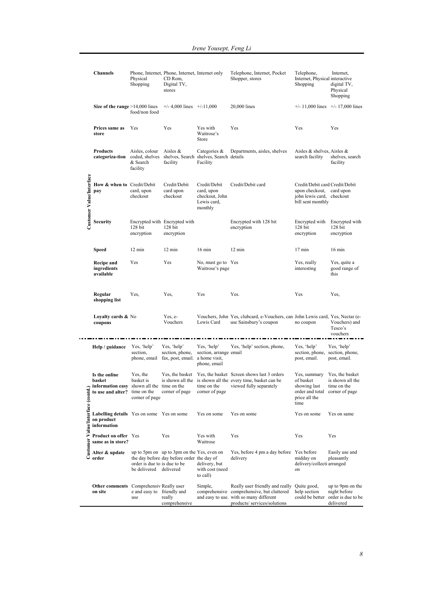|                                 | <b>Channels</b>                                                                                               | Physical<br>Shopping                                   | Phone, Internet, Phone, Internet, Internet only<br>CD Rom,<br>Digital TV,<br>stores      |                                                                        | Telephone, Internet, Pocket<br>Shopper, stores                                                                                                           | Telephone,<br>Internet, Physical interactive<br>Shopping                                                     | Internet,<br>digital TV,<br>Physical<br>Shopping                                    |
|---------------------------------|---------------------------------------------------------------------------------------------------------------|--------------------------------------------------------|------------------------------------------------------------------------------------------|------------------------------------------------------------------------|----------------------------------------------------------------------------------------------------------------------------------------------------------|--------------------------------------------------------------------------------------------------------------|-------------------------------------------------------------------------------------|
|                                 | Size of the range $>14,000$ lines                                                                             | food/non food                                          | $+/- 4,000$ lines $+/-11,000$                                                            |                                                                        | 20,000 lines                                                                                                                                             | $+/- 11,000$ lines $+/- 17,000$ lines                                                                        |                                                                                     |
|                                 | Prices same as<br>store                                                                                       | Yes                                                    | Yes                                                                                      | Yes with<br>Waitrose's<br>Store                                        | Yes                                                                                                                                                      | Yes                                                                                                          | Yes                                                                                 |
|                                 | <b>Products</b><br>categoriza-tion                                                                            | Aisles, colour<br>& Search<br>facility                 | Aisles $\&$<br>coded, shelves shelves, Search shelves, Search details<br>facility        | Categories $\&$<br>Facility                                            | Departments, aisles, shelves                                                                                                                             | Aisles & shelves, Aisles &<br>search facility                                                                | shelves, search<br>facility                                                         |
| Customer Value/Interface        | How & when to Credit/Debit<br>pay                                                                             | card, upon<br>checkout                                 | Credit/Debit<br>card upon<br>checkout                                                    | Credit/Debit<br>card, upon<br>checkout, John<br>Lewis card,<br>monthly | Credit/Debit card                                                                                                                                        | Credit/Debit card Credit/Debit<br>upon checkout, card upon<br>john lewis card, checkout<br>bill sent monthly |                                                                                     |
|                                 | <b>Security</b>                                                                                               | 128 bit<br>encryption                                  | Encrypted with Encrypted with<br>128 bit<br>encryption                                   |                                                                        | Encrypted with 128 bit<br>encryption                                                                                                                     | Encrypted with Encrypted with<br>128 bit<br>encryption                                                       | 128 bit<br>encryption                                                               |
|                                 | Speed                                                                                                         | $12 \text{ min}$                                       | $12 \text{ min}$                                                                         | $16 \text{ min}$                                                       | $12 \text{ min}$                                                                                                                                         | $17$ min                                                                                                     | $16 \text{ min}$                                                                    |
|                                 | <b>Recipe and</b><br>ingredients<br>available                                                                 | Yes                                                    | Yes                                                                                      | No, must go to Yes<br>Waitrose's page                                  |                                                                                                                                                          | Yes, really<br>interesting                                                                                   | Yes, quite a<br>good range of<br>this                                               |
|                                 | Regular<br>shopping list                                                                                      | Yes,                                                   | Yes,                                                                                     | Yes                                                                    | Yes.                                                                                                                                                     | Yes                                                                                                          | Yes,                                                                                |
|                                 | <b>Loyalty cards &amp; No</b><br>coupons                                                                      |                                                        | Yes, e-<br>Vouchers                                                                      | Lewis Card                                                             | Vouchers, John Yes, clubcard, e-Vouchers, can John Lewis card, Yes, Nectar (e-<br>use Sainsbury's coupon                                                 | no coupon                                                                                                    | Vouchers) and<br>Tesco's<br>vouchers                                                |
|                                 | Help / guidance                                                                                               | Yes, 'help'<br>section,                                | Yes, 'help'<br>section, phone,<br>phone, email fax, post, email. a home visit,           | Yes, 'help'<br>section, arrange email<br>phone, email                  | Yes, 'help' section, phone,                                                                                                                              | Yes, 'help'<br>section, phone, section, phone,<br>post, email.                                               | Yes, 'help'<br>post, email.                                                         |
|                                 | Is the online<br>basket<br>$\sim$ information easy shown all the time on the<br>to use and alter? time on the | Yes, the<br>basket is<br>corner of page                | corner of page                                                                           | time on the<br>corner of page                                          | Yes, the basket Yes, the basket Screen shows last 3 orders<br>is shown all the is shown all the every time, basket can be<br>viewed fully separately     | Yes, summary<br>of basket<br>showing last<br>order and total corner of page<br>price all the<br>time         | Yes, the basket<br>is shown all the<br>time on the                                  |
| Customer Value/Interface (contd | Labelling details Yes on some Yes on some<br>on product<br>information                                        |                                                        |                                                                                          | Yes on some                                                            | Yes on some                                                                                                                                              | Yes on some                                                                                                  | Yes on same                                                                         |
|                                 | Product on offer Yes<br>same as in store?                                                                     |                                                        | Yes                                                                                      | Yes with<br>Waitrose                                                   | Yes                                                                                                                                                      | Yes                                                                                                          | Yes                                                                                 |
|                                 | Alter & update<br>order                                                                                       | order is due to is due to be<br>be delivered delivered | up to 5pm on up to 3pm on the Yes, even on<br>the day before day before order the day of | delivery, but<br>with cost (need<br>to call)                           | Yes, before 4 pm a day before Yes before<br>delivery                                                                                                     | midday on<br>delivery/collecti arranged<br>on                                                                | Easily use and<br>pleasantly                                                        |
|                                 | <b>Other comments</b> Comprehensiv Really user<br>on site                                                     | e and easy to friendly and<br>use                      | really<br>comprehensive                                                                  | Simple,                                                                | Really user friendly and really<br>comprehensive comprehensive, but cluttered<br>and easy to use. with so many different<br>products/ services/solutions | Quite good,<br>help section                                                                                  | up to 9pm on the<br>night before<br>could be better order is due to be<br>delivered |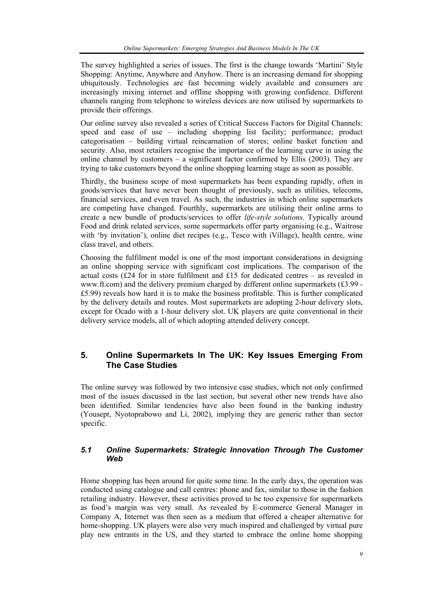The survey highlighted a series of issues. The first is the change towards 'Martini' Style Shopping: Anytime, Anywhere and Anyhow. There is an increasing demand for shopping ubiquitously. Technologies are fast becoming widely available and consumers are increasingly mixing internet and offline shopping with growing confidence. Different channels ranging from telephone to wireless devices are now utilised by supermarkets to provide their offerings.

Our online survey also revealed a series of Critical Success Factors for Digital Channels: speed and ease of use – including shopping list facility; performance; product categorisation – building virtual reincarnation of stores; online basket function and security. Also, most retailers recognise the importance of the learning curve in using the online channel by customers – a significant factor confirmed by Ellis (2003). They are trying to take customers beyond the online shopping learning stage as soon as possible.

Thirdly, the business scope of most supermarkets has been expanding rapidly, often in goods/services that have never been thought of previously, such as utilities, telecoms, financial services, and even travel. As such, the industries in which online supermarkets are competing have changed. Fourthly, supermarkets are utilising their online arms to create a new bundle of products/services to offer *life-style solutions*. Typically around Food and drink related services, some supermarkets offer party organising (e.g., Waitrose with 'by invitation'), online diet recipes (e.g., Tesco with iVillage), health centre, wine class travel, and others.

Choosing the fulfilment model is one of the most important considerations in designing an online shopping service with significant cost implications. The comparison of the actual costs (£24 for in store fulfilment and £15 for dedicated centres – as revealed in www.ft.com) and the delivery premium charged by different online supermarkets (£3.99 - £5.99) reveals how hard it is to make the business profitable. This is further complicated by the delivery details and routes. Most supermarkets are adopting 2-hour delivery slots, except for Ocado with a 1-hour delivery slot. UK players are quite conventional in their delivery service models, all of which adopting attended delivery concept.

## **5. Online Supermarkets In The UK: Key Issues Emerging From The Case Studies**

The online survey was followed by two intensive case studies, which not only confirmed most of the issues discussed in the last section, but several other new trends have also been identified. Similar tendencies have also been found in the banking industry (Yousept, Nyotoprabowo and Li, 2002), implying they are generic rather than sector specific.

### *5.1 Online Supermarkets: Strategic Innovation Through The Customer Web*

Home shopping has been around for quite some time. In the early days, the operation was conducted using catalogue and call centres: phone and fax, similar to those in the fashion retailing industry. However, these activities proved to be too expensive for supermarkets as food's margin was very small. As revealed by E-commerce General Manager in Company A, Internet was then seen as a medium that offered a cheaper alternative for home-shopping. UK players were also very much inspired and challenged by virtual pure play new entrants in the US, and they started to embrace the online home shopping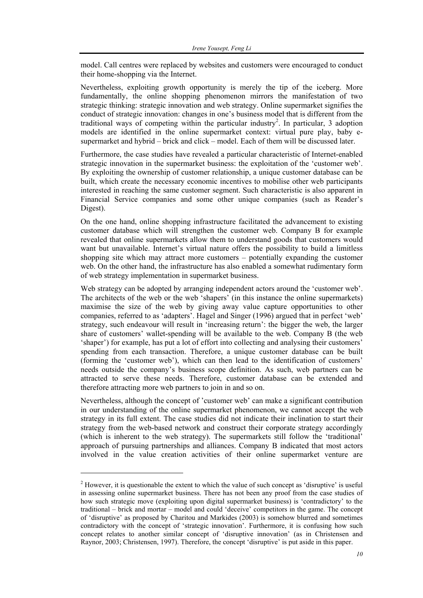model. Call centres were replaced by websites and customers were encouraged to conduct their home-shopping via the Internet.

Nevertheless, exploiting growth opportunity is merely the tip of the iceberg. More fundamentally, the online shopping phenomenon mirrors the manifestation of two strategic thinking: strategic innovation and web strategy. Online supermarket signifies the conduct of strategic innovation: changes in one's business model that is different from the traditional ways of competing within the particular industry<sup>2</sup>. In particular, 3 adoption models are identified in the online supermarket context: virtual pure play, baby esupermarket and hybrid – brick and click – model. Each of them will be discussed later.

Furthermore, the case studies have revealed a particular characteristic of Internet-enabled strategic innovation in the supermarket business: the exploitation of the 'customer web'. By exploiting the ownership of customer relationship, a unique customer database can be built, which create the necessary economic incentives to mobilise other web participants interested in reaching the same customer segment. Such characteristic is also apparent in Financial Service companies and some other unique companies (such as Reader's Digest).

On the one hand, online shopping infrastructure facilitated the advancement to existing customer database which will strengthen the customer web. Company B for example revealed that online supermarkets allow them to understand goods that customers would want but unavailable. Internet's virtual nature offers the possibility to build a limitless shopping site which may attract more customers – potentially expanding the customer web. On the other hand, the infrastructure has also enabled a somewhat rudimentary form of web strategy implementation in supermarket business.

Web strategy can be adopted by arranging independent actors around the 'customer web'. The architects of the web or the web 'shapers' (in this instance the online supermarkets) maximise the size of the web by giving away value capture opportunities to other companies, referred to as 'adapters'. Hagel and Singer (1996) argued that in perfect 'web' strategy, such endeavour will result in 'increasing return': the bigger the web, the larger share of customers' wallet-spending will be available to the web. Company B (the web 'shaper') for example, has put a lot of effort into collecting and analysing their customers' spending from each transaction. Therefore, a unique customer database can be built (forming the 'customer web'), which can then lead to the identification of customers' needs outside the company's business scope definition. As such, web partners can be attracted to serve these needs. Therefore, customer database can be extended and therefore attracting more web partners to join in and so on.

Nevertheless, although the concept of 'customer web' can make a significant contribution in our understanding of the online supermarket phenomenon, we cannot accept the web strategy in its full extent. The case studies did not indicate their inclination to start their strategy from the web-based network and construct their corporate strategy accordingly (which is inherent to the web strategy). The supermarkets still follow the 'traditional' approach of pursuing partnerships and alliances. Company B indicated that most actors involved in the value creation activities of their online supermarket venture are

l

 $2<sup>2</sup>$  However, it is questionable the extent to which the value of such concept as 'disruptive' is useful in assessing online supermarket business. There has not been any proof from the case studies of how such strategic move (exploiting upon digital supermarket business) is 'contradictory' to the traditional – brick and mortar – model and could 'deceive' competitors in the game. The concept of 'disruptive' as proposed by Charitou and Markides (2003) is somehow blurred and sometimes contradictory with the concept of 'strategic innovation'. Furthermore, it is confusing how such concept relates to another similar concept of 'disruptive innovation' (as in Christensen and Raynor, 2003; Christensen, 1997). Therefore, the concept 'disruptive' is put aside in this paper.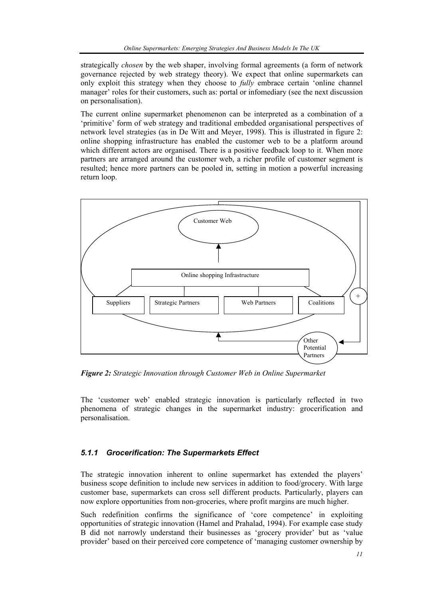strategically *chosen* by the web shaper, involving formal agreements (a form of network governance rejected by web strategy theory). We expect that online supermarkets can only exploit this strategy when they choose to *fully* embrace certain 'online channel manager' roles for their customers, such as: portal or infomediary (see the next discussion on personalisation).

The current online supermarket phenomenon can be interpreted as a combination of a 'primitive' form of web strategy and traditional embedded organisational perspectives of network level strategies (as in De Witt and Meyer, 1998). This is illustrated in figure 2: online shopping infrastructure has enabled the customer web to be a platform around which different actors are organised. There is a positive feedback loop to it. When more partners are arranged around the customer web, a richer profile of customer segment is resulted; hence more partners can be pooled in, setting in motion a powerful increasing return loop.



*Figure 2: Strategic Innovation through Customer Web in Online Supermarket* 

The 'customer web' enabled strategic innovation is particularly reflected in two phenomena of strategic changes in the supermarket industry: grocerification and personalisation.

### *5.1.1 Grocerification: The Supermarkets Effect*

The strategic innovation inherent to online supermarket has extended the players' business scope definition to include new services in addition to food/grocery. With large customer base, supermarkets can cross sell different products. Particularly, players can now explore opportunities from non-groceries, where profit margins are much higher.

Such redefinition confirms the significance of 'core competence' in exploiting opportunities of strategic innovation (Hamel and Prahalad, 1994). For example case study B did not narrowly understand their businesses as 'grocery provider' but as 'value provider' based on their perceived core competence of 'managing customer ownership by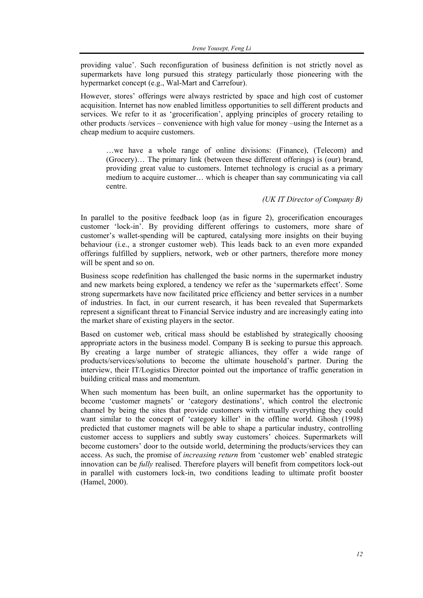providing value'. Such reconfiguration of business definition is not strictly novel as supermarkets have long pursued this strategy particularly those pioneering with the hypermarket concept (e.g., Wal-Mart and Carrefour).

However, stores' offerings were always restricted by space and high cost of customer acquisition. Internet has now enabled limitless opportunities to sell different products and services. We refer to it as 'grocerification', applying principles of grocery retailing to other products /services – convenience with high value for money –using the Internet as a cheap medium to acquire customers.

…we have a whole range of online divisions: (Finance), (Telecom) and (Grocery)… The primary link (between these different offerings) is (our) brand, providing great value to customers. Internet technology is crucial as a primary medium to acquire customer… which is cheaper than say communicating via call centre.

#### *(UK IT Director of Company B)*

In parallel to the positive feedback loop (as in figure 2), grocerification encourages customer 'lock-in'. By providing different offerings to customers, more share of customer's wallet-spending will be captured, catalysing more insights on their buying behaviour (i.e., a stronger customer web). This leads back to an even more expanded offerings fulfilled by suppliers, network, web or other partners, therefore more money will be spent and so on.

Business scope redefinition has challenged the basic norms in the supermarket industry and new markets being explored, a tendency we refer as the 'supermarkets effect'. Some strong supermarkets have now facilitated price efficiency and better services in a number of industries. In fact, in our current research, it has been revealed that Supermarkets represent a significant threat to Financial Service industry and are increasingly eating into the market share of existing players in the sector.

Based on customer web, critical mass should be established by strategically choosing appropriate actors in the business model. Company B is seeking to pursue this approach. By creating a large number of strategic alliances, they offer a wide range of products/services/solutions to become the ultimate household's partner. During the interview, their IT/Logistics Director pointed out the importance of traffic generation in building critical mass and momentum.

When such momentum has been built, an online supermarket has the opportunity to become 'customer magnets' or 'category destinations', which control the electronic channel by being the sites that provide customers with virtually everything they could want similar to the concept of 'category killer' in the offline world. Ghosh (1998) predicted that customer magnets will be able to shape a particular industry, controlling customer access to suppliers and subtly sway customers' choices. Supermarkets will become customers' door to the outside world, determining the products/services they can access. As such, the promise of *increasing return* from 'customer web' enabled strategic innovation can be *fully* realised. Therefore players will benefit from competitors lock-out in parallel with customers lock-in, two conditions leading to ultimate profit booster (Hamel, 2000).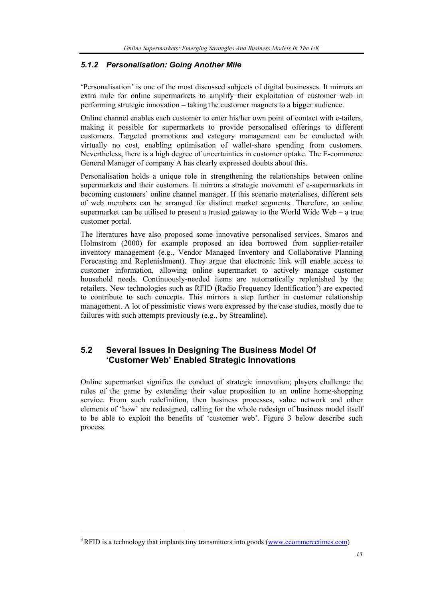### *5.1.2 Personalisation: Going Another Mile*

'Personalisation' is one of the most discussed subjects of digital businesses. It mirrors an extra mile for online supermarkets to amplify their exploitation of customer web in performing strategic innovation – taking the customer magnets to a bigger audience.

Online channel enables each customer to enter his/her own point of contact with e-tailers, making it possible for supermarkets to provide personalised offerings to different customers. Targeted promotions and category management can be conducted with virtually no cost, enabling optimisation of wallet-share spending from customers. Nevertheless, there is a high degree of uncertainties in customer uptake. The E-commerce General Manager of company A has clearly expressed doubts about this.

Personalisation holds a unique role in strengthening the relationships between online supermarkets and their customers. It mirrors a strategic movement of e-supermarkets in becoming customers' online channel manager. If this scenario materialises, different sets of web members can be arranged for distinct market segments. Therefore, an online supermarket can be utilised to present a trusted gateway to the World Wide Web – a true customer portal.

The literatures have also proposed some innovative personalised services. Smaros and Holmstrom (2000) for example proposed an idea borrowed from supplier-retailer inventory management (e.g., Vendor Managed Inventory and Collaborative Planning Forecasting and Replenishment). They argue that electronic link will enable access to customer information, allowing online supermarket to actively manage customer household needs. Continuously-needed items are automatically replenished by the retailers. New technologies such as RFID (Radio Frequency Identification<sup>3</sup>) are expected to contribute to such concepts. This mirrors a step further in customer relationship management. A lot of pessimistic views were expressed by the case studies, mostly due to failures with such attempts previously (e.g., by Streamline).

## **5.2 Several Issues In Designing The Business Model Of 'Customer Web' Enabled Strategic Innovations**

Online supermarket signifies the conduct of strategic innovation; players challenge the rules of the game by extending their value proposition to an online home-shopping service. From such redefinition, then business processes, value network and other elements of 'how' are redesigned, calling for the whole redesign of business model itself to be able to exploit the benefits of 'customer web'. Figure 3 below describe such process.

l

<sup>&</sup>lt;sup>3</sup> RFID is a technology that implants tiny transmitters into goods (www.ecommercetimes.com)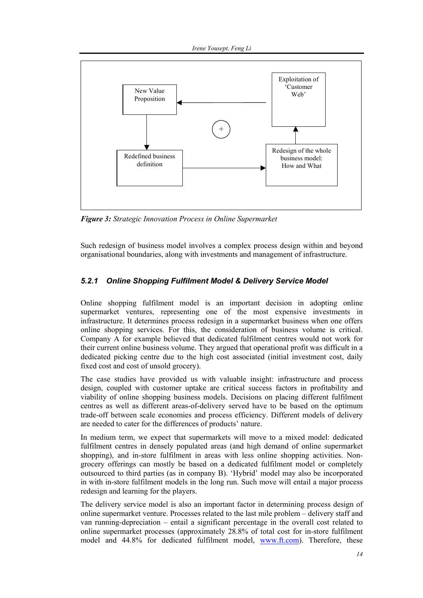

*Figure 3: Strategic Innovation Process in Online Supermarket* 

Such redesign of business model involves a complex process design within and beyond organisational boundaries, along with investments and management of infrastructure.

## *5.2.1 Online Shopping Fulfilment Model & Delivery Service Model*

Online shopping fulfilment model is an important decision in adopting online supermarket ventures, representing one of the most expensive investments in infrastructure. It determines process redesign in a supermarket business when one offers online shopping services. For this, the consideration of business volume is critical. Company A for example believed that dedicated fulfilment centres would not work for their current online business volume. They argued that operational profit was difficult in a dedicated picking centre due to the high cost associated (initial investment cost, daily fixed cost and cost of unsold grocery).

The case studies have provided us with valuable insight: infrastructure and process design, coupled with customer uptake are critical success factors in profitability and viability of online shopping business models. Decisions on placing different fulfilment centres as well as different areas-of-delivery served have to be based on the optimum trade-off between scale economies and process efficiency. Different models of delivery are needed to cater for the differences of products' nature.

In medium term, we expect that supermarkets will move to a mixed model: dedicated fulfilment centres in densely populated areas (and high demand of online supermarket shopping), and in-store fulfilment in areas with less online shopping activities. Nongrocery offerings can mostly be based on a dedicated fulfilment model or completely outsourced to third parties (as in company B). 'Hybrid' model may also be incorporated in with in-store fulfilment models in the long run. Such move will entail a major process redesign and learning for the players.

The delivery service model is also an important factor in determining process design of online supermarket venture. Processes related to the last mile problem – delivery staff and van running-depreciation – entail a significant percentage in the overall cost related to online supermarket processes (approximately 28.8% of total cost for in-store fulfilment model and 44.8% for dedicated fulfilment model, www.ft.com). Therefore, these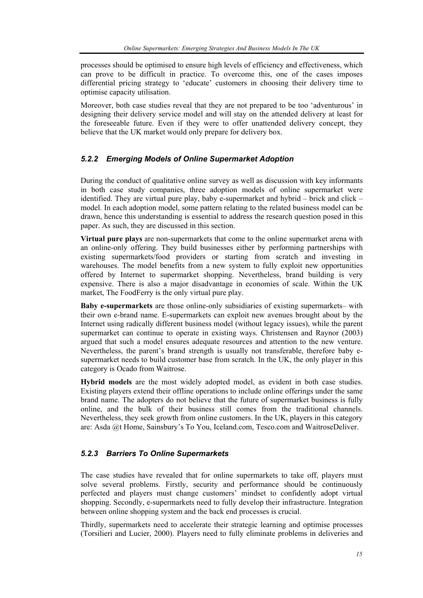processes should be optimised to ensure high levels of efficiency and effectiveness, which can prove to be difficult in practice. To overcome this, one of the cases imposes differential pricing strategy to 'educate' customers in choosing their delivery time to optimise capacity utilisation.

Moreover, both case studies reveal that they are not prepared to be too 'adventurous' in designing their delivery service model and will stay on the attended delivery at least for the foreseeable future. Even if they were to offer unattended delivery concept, they believe that the UK market would only prepare for delivery box.

### *5.2.2 Emerging Models of Online Supermarket Adoption*

During the conduct of qualitative online survey as well as discussion with key informants in both case study companies, three adoption models of online supermarket were identified. They are virtual pure play, baby e-supermarket and hybrid – brick and click – model. In each adoption model, some pattern relating to the related business model can be drawn, hence this understanding is essential to address the research question posed in this paper. As such, they are discussed in this section.

**Virtual pure plays** are non-supermarkets that come to the online supermarket arena with an online-only offering. They build businesses either by performing partnerships with existing supermarkets/food providers or starting from scratch and investing in warehouses. The model benefits from a new system to fully exploit new opportunities offered by Internet to supermarket shopping. Nevertheless, brand building is very expensive. There is also a major disadvantage in economies of scale. Within the UK market, The FoodFerry is the only virtual pure play.

**Baby e-supermarkets** are those online-only subsidiaries of existing supermarkets– with their own e-brand name. E-supermarkets can exploit new avenues brought about by the Internet using radically different business model (without legacy issues), while the parent supermarket can continue to operate in existing ways. Christensen and Raynor (2003) argued that such a model ensures adequate resources and attention to the new venture. Nevertheless, the parent's brand strength is usually not transferable, therefore baby esupermarket needs to build customer base from scratch. In the UK, the only player in this category is Ocado from Waitrose.

**Hybrid models** are the most widely adopted model, as evident in both case studies. Existing players extend their offline operations to include online offerings under the same brand name. The adopters do not believe that the future of supermarket business is fully online, and the bulk of their business still comes from the traditional channels. Nevertheless, they seek growth from online customers. In the UK, players in this category are: Asda @t Home, Sainsbury's To You, Iceland.com, Tesco.com and WaitroseDeliver.

### *5.2.3 Barriers To Online Supermarkets*

The case studies have revealed that for online supermarkets to take off, players must solve several problems. Firstly, security and performance should be continuously perfected and players must change customers' mindset to confidently adopt virtual shopping. Secondly, e-supermarkets need to fully develop their infrastructure. Integration between online shopping system and the back end processes is crucial.

Thirdly, supermarkets need to accelerate their strategic learning and optimise processes (Torsilieri and Lucier, 2000). Players need to fully eliminate problems in deliveries and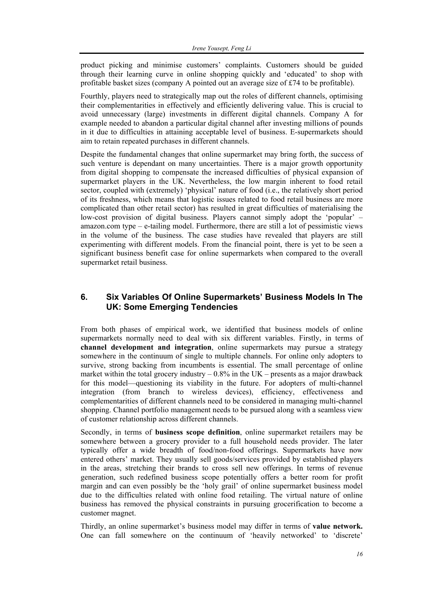product picking and minimise customers' complaints. Customers should be guided through their learning curve in online shopping quickly and 'educated' to shop with profitable basket sizes (company A pointed out an average size of £74 to be profitable).

Fourthly, players need to strategically map out the roles of different channels, optimising their complementarities in effectively and efficiently delivering value. This is crucial to avoid unnecessary (large) investments in different digital channels. Company A for example needed to abandon a particular digital channel after investing millions of pounds in it due to difficulties in attaining acceptable level of business. E-supermarkets should aim to retain repeated purchases in different channels.

Despite the fundamental changes that online supermarket may bring forth, the success of such venture is dependant on many uncertainties. There is a major growth opportunity from digital shopping to compensate the increased difficulties of physical expansion of supermarket players in the UK. Nevertheless, the low margin inherent to food retail sector, coupled with (extremely) 'physical' nature of food (i.e., the relatively short period of its freshness, which means that logistic issues related to food retail business are more complicated than other retail sector) has resulted in great difficulties of materialising the low-cost provision of digital business. Players cannot simply adopt the 'popular' – amazon.com type – e-tailing model. Furthermore, there are still a lot of pessimistic views in the volume of the business. The case studies have revealed that players are still experimenting with different models. From the financial point, there is yet to be seen a significant business benefit case for online supermarkets when compared to the overall supermarket retail business.

# **6. Six Variables Of Online Supermarkets' Business Models In The UK: Some Emerging Tendencies**

From both phases of empirical work, we identified that business models of online supermarkets normally need to deal with six different variables. Firstly, in terms of **channel development and integration**, online supermarkets may pursue a strategy somewhere in the continuum of single to multiple channels. For online only adopters to survive, strong backing from incumbents is essential. The small percentage of online market within the total grocery industry  $-0.8\%$  in the UK – presents as a major drawback for this model—questioning its viability in the future. For adopters of multi-channel integration (from branch to wireless devices), efficiency, effectiveness and complementarities of different channels need to be considered in managing multi-channel shopping. Channel portfolio management needs to be pursued along with a seamless view of customer relationship across different channels.

Secondly, in terms of **business scope definition**, online supermarket retailers may be somewhere between a grocery provider to a full household needs provider. The later typically offer a wide breadth of food/non-food offerings. Supermarkets have now entered others' market. They usually sell goods/services provided by established players in the areas, stretching their brands to cross sell new offerings. In terms of revenue generation, such redefined business scope potentially offers a better room for profit margin and can even possibly be the 'holy grail' of online supermarket business model due to the difficulties related with online food retailing. The virtual nature of online business has removed the physical constraints in pursuing grocerification to become a customer magnet.

Thirdly, an online supermarket's business model may differ in terms of **value network.** One can fall somewhere on the continuum of 'heavily networked' to 'discrete'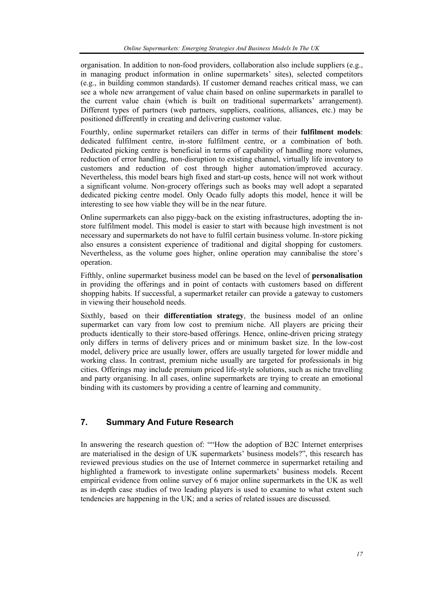organisation. In addition to non-food providers, collaboration also include suppliers (e.g., in managing product information in online supermarkets' sites), selected competitors (e.g., in building common standards). If customer demand reaches critical mass, we can see a whole new arrangement of value chain based on online supermarkets in parallel to the current value chain (which is built on traditional supermarkets' arrangement). Different types of partners (web partners, suppliers, coalitions, alliances, etc.) may be positioned differently in creating and delivering customer value.

Fourthly, online supermarket retailers can differ in terms of their **fulfilment models**: dedicated fulfilment centre, in-store fulfilment centre, or a combination of both. Dedicated picking centre is beneficial in terms of capability of handling more volumes, reduction of error handling, non-disruption to existing channel, virtually life inventory to customers and reduction of cost through higher automation/improved accuracy. Nevertheless, this model bears high fixed and start-up costs, hence will not work without a significant volume. Non-grocery offerings such as books may well adopt a separated dedicated picking centre model. Only Ocado fully adopts this model, hence it will be interesting to see how viable they will be in the near future.

Online supermarkets can also piggy-back on the existing infrastructures, adopting the instore fulfilment model. This model is easier to start with because high investment is not necessary and supermarkets do not have to fulfil certain business volume. In-store picking also ensures a consistent experience of traditional and digital shopping for customers. Nevertheless, as the volume goes higher, online operation may cannibalise the store's operation.

Fifthly, online supermarket business model can be based on the level of **personalisation** in providing the offerings and in point of contacts with customers based on different shopping habits. If successful, a supermarket retailer can provide a gateway to customers in viewing their household needs.

Sixthly, based on their **differentiation strategy**, the business model of an online supermarket can vary from low cost to premium niche. All players are pricing their products identically to their store-based offerings. Hence, online-driven pricing strategy only differs in terms of delivery prices and or minimum basket size. In the low-cost model, delivery price are usually lower, offers are usually targeted for lower middle and working class. In contrast, premium niche usually are targeted for professionals in big cities. Offerings may include premium priced life-style solutions, such as niche travelling and party organising. In all cases, online supermarkets are trying to create an emotional binding with its customers by providing a centre of learning and community.

# **7. Summary And Future Research**

In answering the research question of: ""How the adoption of B2C Internet enterprises are materialised in the design of UK supermarkets' business models?", this research has reviewed previous studies on the use of Internet commerce in supermarket retailing and highlighted a framework to investigate online supermarkets' business models. Recent empirical evidence from online survey of 6 major online supermarkets in the UK as well as in-depth case studies of two leading players is used to examine to what extent such tendencies are happening in the UK; and a series of related issues are discussed.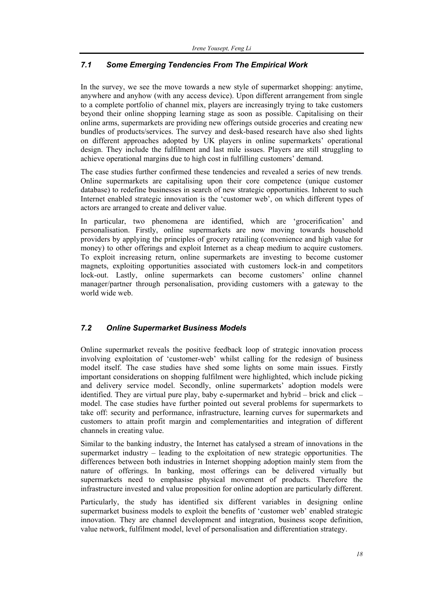# *7.1 Some Emerging Tendencies From The Empirical Work*

In the survey, we see the move towards a new style of supermarket shopping: anytime, anywhere and anyhow (with any access device). Upon different arrangement from single to a complete portfolio of channel mix, players are increasingly trying to take customers beyond their online shopping learning stage as soon as possible. Capitalising on their online arms, supermarkets are providing new offerings outside groceries and creating new bundles of products/services. The survey and desk-based research have also shed lights on different approaches adopted by UK players in online supermarkets' operational design. They include the fulfilment and last mile issues. Players are still struggling to achieve operational margins due to high cost in fulfilling customers' demand.

The case studies further confirmed these tendencies and revealed a series of new trends. Online supermarkets are capitalising upon their core competence (unique customer database) to redefine businesses in search of new strategic opportunities. Inherent to such Internet enabled strategic innovation is the 'customer web', on which different types of actors are arranged to create and deliver value.

In particular, two phenomena are identified, which are 'grocerification' personalisation. Firstly, online supermarkets are now moving towards household providers by applying the principles of grocery retailing (convenience and high value for money) to other offerings and exploit Internet as a cheap medium to acquire customers. To exploit increasing return, online supermarkets are investing to become customer magnets, exploiting opportunities associated with customers lock-in and competitors lock-out. Lastly, online supermarkets can become customers' online channel manager/partner through personalisation, providing customers with a gateway to the world wide web.

## *7.2 Online Supermarket Business Models*

Online supermarket reveals the positive feedback loop of strategic innovation process involving exploitation of 'customer-web' whilst calling for the redesign of business model itself. The case studies have shed some lights on some main issues. Firstly important considerations on shopping fulfilment were highlighted, which include picking and delivery service model. Secondly, online supermarkets' adoption models were identified. They are virtual pure play, baby e-supermarket and hybrid – brick and click – model. The case studies have further pointed out several problems for supermarkets to take off: security and performance, infrastructure, learning curves for supermarkets and customers to attain profit margin and complementarities and integration of different channels in creating value.

Similar to the banking industry, the Internet has catalysed a stream of innovations in the supermarket industry – leading to the exploitation of new strategic opportunities. The differences between both industries in Internet shopping adoption mainly stem from the nature of offerings. In banking, most offerings can be delivered virtually but supermarkets need to emphasise physical movement of products. Therefore the infrastructure invested and value proposition for online adoption are particularly different.

Particularly, the study has identified six different variables in designing online supermarket business models to exploit the benefits of 'customer web' enabled strategic innovation. They are channel development and integration, business scope definition, value network, fulfilment model, level of personalisation and differentiation strategy.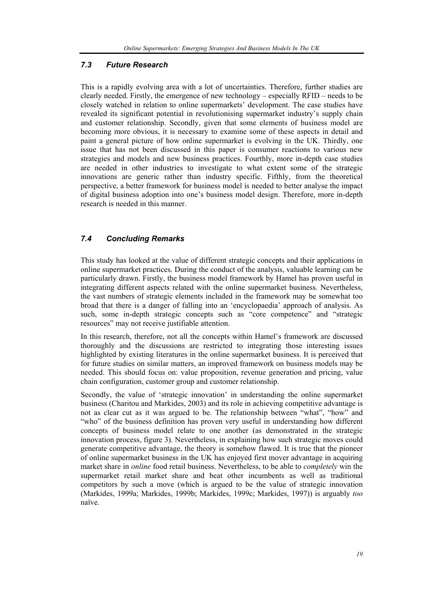#### *7.3 Future Research*

This is a rapidly evolving area with a lot of uncertainties. Therefore, further studies are clearly needed. Firstly, the emergence of new technology – especially RFID – needs to be closely watched in relation to online supermarkets' development. The case studies have revealed its significant potential in revolutionising supermarket industry's supply chain and customer relationship. Secondly, given that some elements of business model are becoming more obvious, it is necessary to examine some of these aspects in detail and paint a general picture of how online supermarket is evolving in the UK. Thirdly, one issue that has not been discussed in this paper is consumer reactions to various new strategies and models and new business practices. Fourthly, more in-depth case studies are needed in other industries to investigate to what extent some of the strategic innovations are generic rather than industry specific. Fifthly, from the theoretical perspective, a better framework for business model is needed to better analyse the impact of digital business adoption into one's business model design. Therefore, more in-depth research is needed in this manner.

## *7.4 Concluding Remarks*

This study has looked at the value of different strategic concepts and their applications in online supermarket practices. During the conduct of the analysis, valuable learning can be particularly drawn. Firstly, the business model framework by Hamel has proven useful in integrating different aspects related with the online supermarket business. Nevertheless, the vast numbers of strategic elements included in the framework may be somewhat too broad that there is a danger of falling into an 'encyclopaedia' approach of analysis. As such, some in-depth strategic concepts such as "core competence" and "strategic resources" may not receive justifiable attention.

In this research, therefore, not all the concepts within Hamel's framework are discussed thoroughly and the discussions are restricted to integrating those interesting issues highlighted by existing literatures in the online supermarket business. It is perceived that for future studies on similar matters, an improved framework on business models may be needed. This should focus on: value proposition, revenue generation and pricing, value chain configuration, customer group and customer relationship.

Secondly, the value of 'strategic innovation' in understanding the online supermarket business (Charitou and Markides, 2003) and its role in achieving competitive advantage is not as clear cut as it was argued to be. The relationship between "what", "how" and "who" of the business definition has proven very useful in understanding how different concepts of business model relate to one another (as demonstrated in the strategic innovation process, figure 3). Nevertheless, in explaining how such strategic moves could generate competitive advantage, the theory is somehow flawed. It is true that the pioneer of online supermarket business in the UK has enjoyed first mover advantage in acquiring market share in *online* food retail business. Nevertheless, to be able to *completely* win the supermarket retail market share and beat other incumbents as well as traditional competitors by such a move (which is argued to be the value of strategic innovation (Markides, 1999a; Markides, 1999b; Markides, 1999c; Markides, 1997)) is arguably *too* naïve.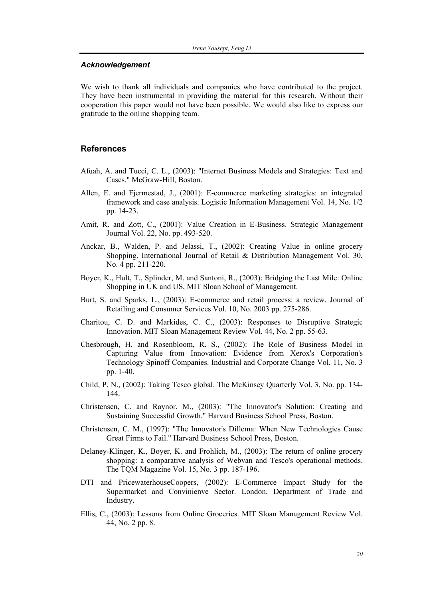#### *Acknowledgement*

We wish to thank all individuals and companies who have contributed to the project. They have been instrumental in providing the material for this research. Without their cooperation this paper would not have been possible. We would also like to express our gratitude to the online shopping team.

#### **References**

- Afuah, A. and Tucci, C. L., (2003): "Internet Business Models and Strategies: Text and Cases." McGraw-Hill, Boston.
- Allen, E. and Fjermestad, J., (2001): E-commerce marketing strategies: an integrated framework and case analysis. Logistic Information Management Vol. 14, No. 1/2 pp. 14-23.
- Amit, R. and Zott, C., (2001): Value Creation in E-Business. Strategic Management Journal Vol. 22, No. pp. 493-520.
- Anckar, B., Walden, P. and Jelassi, T., (2002): Creating Value in online grocery Shopping. International Journal of Retail & Distribution Management Vol. 30, No. 4 pp. 211-220.
- Boyer, K., Hult, T., Splinder, M. and Santoni, R., (2003): Bridging the Last Mile: Online Shopping in UK and US, MIT Sloan School of Management.
- Burt, S. and Sparks, L., (2003): E-commerce and retail process: a review. Journal of Retailing and Consumer Services Vol. 10, No. 2003 pp. 275-286.
- Charitou, C. D. and Markides, C. C., (2003): Responses to Disruptive Strategic Innovation. MIT Sloan Management Review Vol. 44, No. 2 pp. 55-63.
- Chesbrough, H. and Rosenbloom, R. S., (2002): The Role of Business Model in Capturing Value from Innovation: Evidence from Xerox's Corporation's Technology Spinoff Companies. Industrial and Corporate Change Vol. 11, No. 3 pp. 1-40.
- Child, P. N., (2002): Taking Tesco global. The McKinsey Quarterly Vol. 3, No. pp. 134- 144.
- Christensen, C. and Raynor, M., (2003): "The Innovator's Solution: Creating and Sustaining Successful Growth." Harvard Business School Press, Boston.
- Christensen, C. M., (1997): "The Innovator's Dillema: When New Technologies Cause Great Firms to Fail." Harvard Business School Press, Boston.
- Delaney-Klinger, K., Boyer, K. and Frohlich, M., (2003): The return of online grocery shopping: a comparative analysis of Webvan and Tesco's operational methods. The TQM Magazine Vol. 15, No. 3 pp. 187-196.
- DTI and PricewaterhouseCoopers, (2002): E-Commerce Impact Study for the Supermarket and Convinienve Sector. London, Department of Trade and Industry.
- Ellis, C., (2003): Lessons from Online Groceries. MIT Sloan Management Review Vol. 44, No. 2 pp. 8.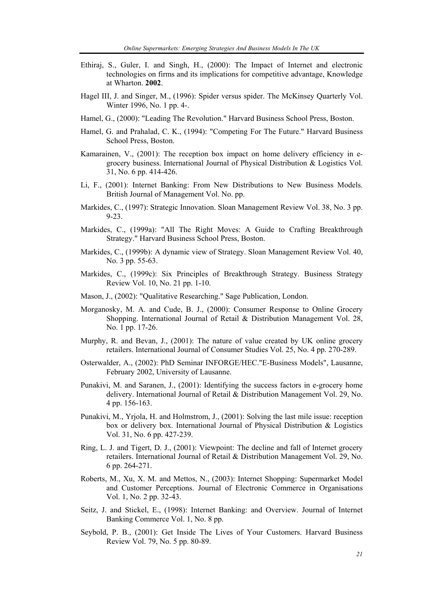- Ethiraj, S., Guler, I. and Singh, H., (2000): The Impact of Internet and electronic technologies on firms and its implications for competitive advantage, Knowledge at Wharton. **2002**.
- Hagel III, J. and Singer, M., (1996): Spider versus spider. The McKinsey Quarterly Vol. Winter 1996, No. 1 pp. 4-.
- Hamel, G., (2000): "Leading The Revolution." Harvard Business School Press, Boston.
- Hamel, G. and Prahalad, C. K., (1994): "Competing For The Future." Harvard Business School Press, Boston.
- Kamarainen, V., (2001): The reception box impact on home delivery efficiency in egrocery business. International Journal of Physical Distribution & Logistics Vol. 31, No. 6 pp. 414-426.
- Li, F., (2001): Internet Banking: From New Distributions to New Business Models. British Journal of Management Vol. No. pp.
- Markides, C., (1997): Strategic Innovation. Sloan Management Review Vol. 38, No. 3 pp. 9-23.
- Markides, C., (1999a): "All The Right Moves: A Guide to Crafting Breakthrough Strategy." Harvard Business School Press, Boston.
- Markides, C., (1999b): A dynamic view of Strategy. Sloan Management Review Vol. 40, No. 3 pp. 55-63.
- Markides, C., (1999c): Six Principles of Breakthrough Strategy. Business Strategy Review Vol. 10, No. 21 pp. 1-10.
- Mason, J., (2002): "Qualitative Researching." Sage Publication, London.
- Morganosky, M. A. and Cude, B. J., (2000): Consumer Response to Online Grocery Shopping. International Journal of Retail & Distribution Management Vol. 28, No. 1 pp. 17-26.
- Murphy, R. and Bevan, J., (2001): The nature of value created by UK online grocery retailers. International Journal of Consumer Studies Vol. 25, No. 4 pp. 270-289.
- Osterwalder, A., (2002): PhD Seminar INFORGE/HEC."E-Business Models", Lausanne, February 2002, University of Lausanne.
- Punakivi, M. and Saranen, J., (2001): Identifying the success factors in e-grocery home delivery. International Journal of Retail & Distribution Management Vol. 29, No. 4 pp. 156-163.
- Punakivi, M., Yrjola, H. and Holmstrom, J., (2001): Solving the last mile issue: reception box or delivery box. International Journal of Physical Distribution & Logistics Vol. 31, No. 6 pp. 427-239.
- Ring, L. J. and Tigert, D. J., (2001): Viewpoint: The decline and fall of Internet grocery retailers. International Journal of Retail & Distribution Management Vol. 29, No. 6 pp. 264-271.
- Roberts, M., Xu, X. M. and Mettos, N., (2003): Internet Shopping: Supermarket Model and Customer Perceptions. Journal of Electronic Commerce in Organisations Vol. 1, No. 2 pp. 32-43.
- Seitz, J. and Stickel, E., (1998): Internet Banking: and Overview. Journal of Internet Banking Commerce Vol. 1, No. 8 pp.
- Seybold, P. B., (2001): Get Inside The Lives of Your Customers. Harvard Business Review Vol. 79, No. 5 pp. 80-89.